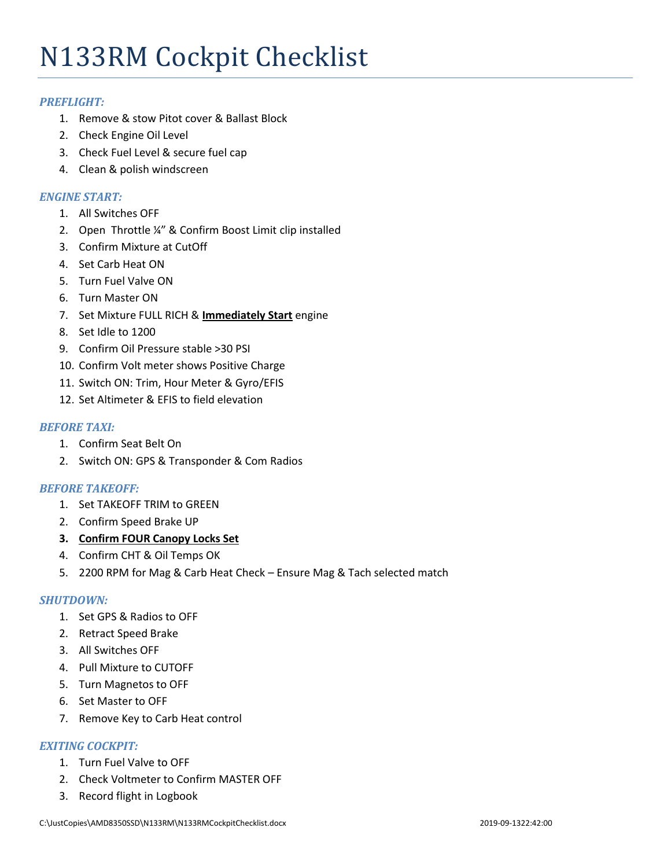# N133RM Cockpit Checklist

# *PREFLIGHT:*

- 1. Remove & stow Pitot cover & Ballast Block
- 2. Check Engine Oil Level
- 3. Check Fuel Level & secure fuel cap
- 4. Clean & polish windscreen

# *ENGINE START:*

- 1. All Switches OFF
- 2. Open Throttle ¼" & Confirm Boost Limit clip installed
- 3. Confirm Mixture at CutOff
- 4. Set Carb Heat ON
- 5. Turn Fuel Valve ON
- 6. Turn Master ON
- 7. Set Mixture FULL RICH & **Immediately Start** engine
- 8. Set Idle to 1200
- 9. Confirm Oil Pressure stable >30 PSI
- 10. Confirm Volt meter shows Positive Charge
- 11. Switch ON: Trim, Hour Meter & Gyro/EFIS
- 12. Set Altimeter & EFIS to field elevation

# *BEFORE TAXI:*

- 1. Confirm Seat Belt On
- 2. Switch ON: GPS & Transponder & Com Radios

### *BEFORE TAKEOFF:*

- 1. Set TAKEOFF TRIM to GREEN
- 2. Confirm Speed Brake UP
- **3. Confirm FOUR Canopy Locks Set**
- 4. Confirm CHT & Oil Temps OK
- 5. 2200 RPM for Mag & Carb Heat Check Ensure Mag & Tach selected match

### *SHUTDOWN:*

- 1. Set GPS & Radios to OFF
- 2. Retract Speed Brake
- 3. All Switches OFF
- 4. Pull Mixture to CUTOFF
- 5. Turn Magnetos to OFF
- 6. Set Master to OFF
- 7. Remove Key to Carb Heat control

# *EXITING COCKPIT:*

- 1. Turn Fuel Valve to OFF
- 2. Check Voltmeter to Confirm MASTER OFF
- 3. Record flight in Logbook